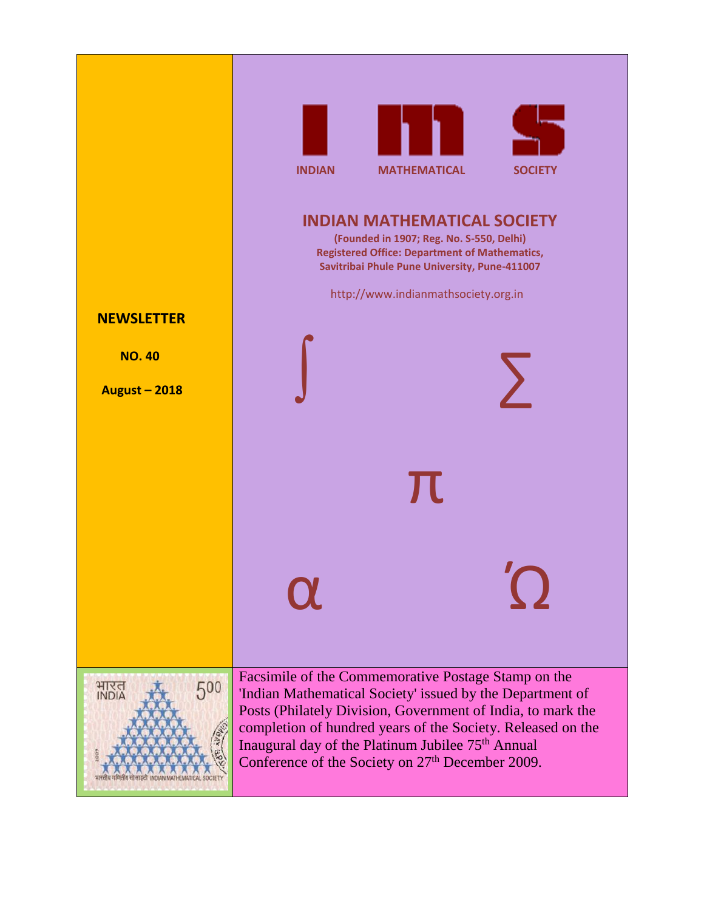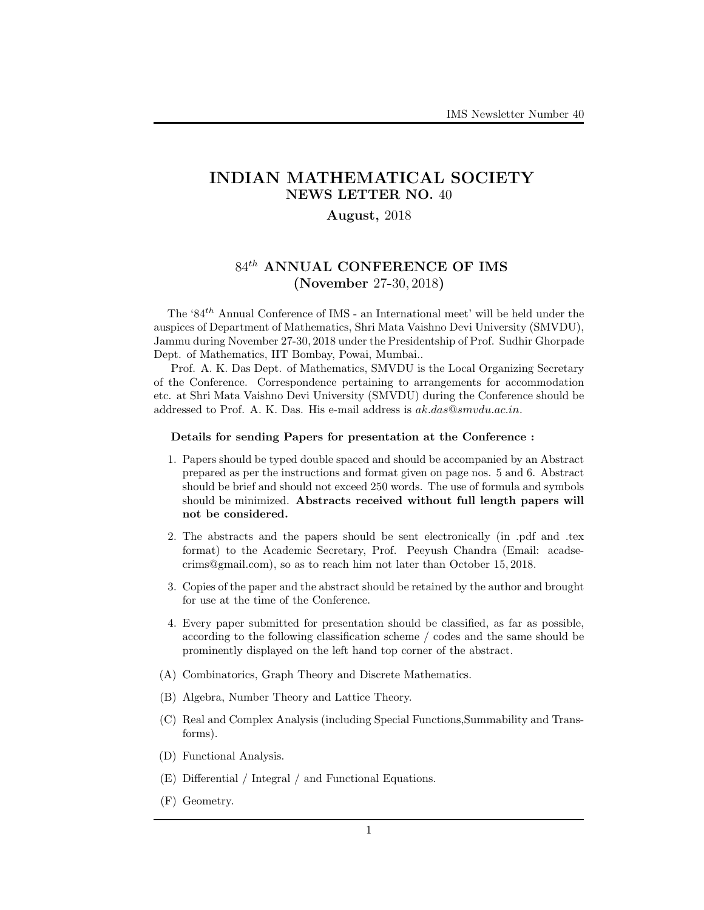# INDIAN MATHEMATICAL SOCIETY NEWS LETTER NO. 40

## August, 2018

# $84<sup>th</sup>$  ANNUAL CONFERENCE OF IMS (November 27-30, 2018)

The '84th Annual Conference of IMS - an International meet' will be held under the auspices of Department of Mathematics, Shri Mata Vaishno Devi University (SMVDU), Jammu during November 27-30, 2018 under the Presidentship of Prof. Sudhir Ghorpade Dept. of Mathematics, IIT Bombay, Powai, Mumbai..

Prof. A. K. Das Dept. of Mathematics, SMVDU is the Local Organizing Secretary of the Conference. Correspondence pertaining to arrangements for accommodation etc. at Shri Mata Vaishno Devi University (SMVDU) during the Conference should be addressed to Prof. A. K. Das. His e-mail address is  $ak.das@smvdu.ac.in$ .

### Details for sending Papers for presentation at the Conference :

- 1. Papers should be typed double spaced and should be accompanied by an Abstract prepared as per the instructions and format given on page nos. 5 and 6. Abstract should be brief and should not exceed 250 words. The use of formula and symbols should be minimized. Abstracts received without full length papers will not be considered.
- 2. The abstracts and the papers should be sent electronically (in .pdf and .tex format) to the Academic Secretary, Prof. Peeyush Chandra (Email: acadsecrims@gmail.com), so as to reach him not later than October 15, 2018.
- 3. Copies of the paper and the abstract should be retained by the author and brought for use at the time of the Conference.
- 4. Every paper submitted for presentation should be classified, as far as possible, according to the following classification scheme / codes and the same should be prominently displayed on the left hand top corner of the abstract.
- (A) Combinatorics, Graph Theory and Discrete Mathematics.
- (B) Algebra, Number Theory and Lattice Theory.
- (C) Real and Complex Analysis (including Special Functions,Summability and Transforms).
- (D) Functional Analysis.
- (E) Differential / Integral / and Functional Equations.
- (F) Geometry.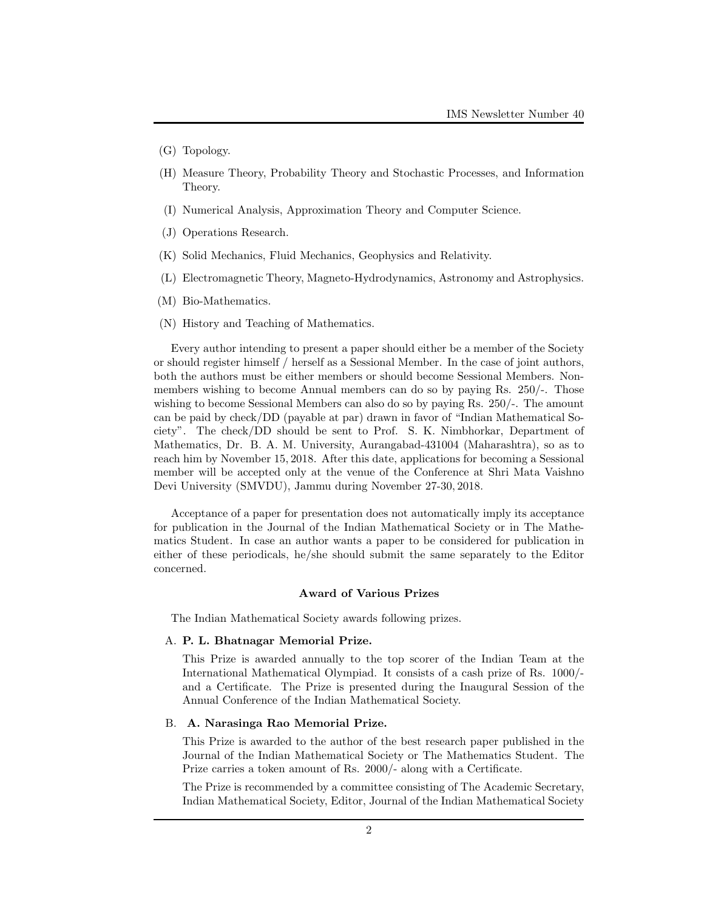- (G) Topology.
- (H) Measure Theory, Probability Theory and Stochastic Processes, and Information Theory.
- (I) Numerical Analysis, Approximation Theory and Computer Science.
- (J) Operations Research.
- (K) Solid Mechanics, Fluid Mechanics, Geophysics and Relativity.
- (L) Electromagnetic Theory, Magneto-Hydrodynamics, Astronomy and Astrophysics.
- (M) Bio-Mathematics.
- (N) History and Teaching of Mathematics.

Every author intending to present a paper should either be a member of the Society or should register himself / herself as a Sessional Member. In the case of joint authors, both the authors must be either members or should become Sessional Members. Nonmembers wishing to become Annual members can do so by paying Rs. 250/-. Those wishing to become Sessional Members can also do so by paying Rs. 250/-. The amount can be paid by check/DD (payable at par) drawn in favor of "Indian Mathematical Society". The check/DD should be sent to Prof. S. K. Nimbhorkar, Department of Mathematics, Dr. B. A. M. University, Aurangabad-431004 (Maharashtra), so as to reach him by November 15, 2018. After this date, applications for becoming a Sessional member will be accepted only at the venue of the Conference at Shri Mata Vaishno Devi University (SMVDU), Jammu during November 27-30, 2018.

Acceptance of a paper for presentation does not automatically imply its acceptance for publication in the Journal of the Indian Mathematical Society or in The Mathematics Student. In case an author wants a paper to be considered for publication in either of these periodicals, he/she should submit the same separately to the Editor concerned.

#### Award of Various Prizes

The Indian Mathematical Society awards following prizes.

#### A. P. L. Bhatnagar Memorial Prize.

This Prize is awarded annually to the top scorer of the Indian Team at the International Mathematical Olympiad. It consists of a cash prize of Rs. 1000/ and a Certificate. The Prize is presented during the Inaugural Session of the Annual Conference of the Indian Mathematical Society.

#### B. A. Narasinga Rao Memorial Prize.

This Prize is awarded to the author of the best research paper published in the Journal of the Indian Mathematical Society or The Mathematics Student. The Prize carries a token amount of Rs. 2000/- along with a Certificate.

The Prize is recommended by a committee consisting of The Academic Secretary, Indian Mathematical Society, Editor, Journal of the Indian Mathematical Society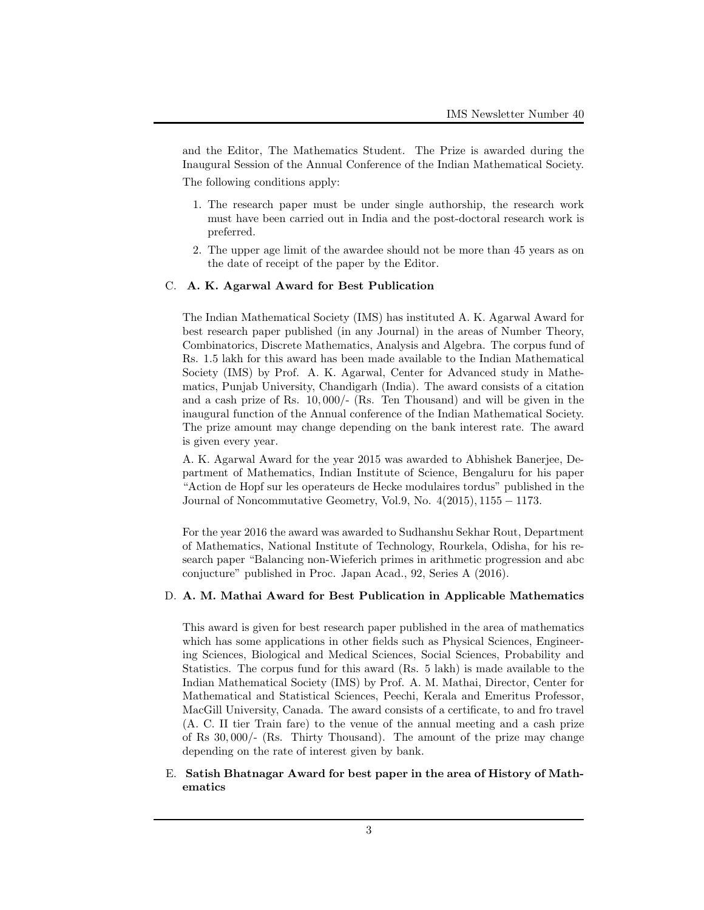and the Editor, The Mathematics Student. The Prize is awarded during the Inaugural Session of the Annual Conference of the Indian Mathematical Society.

The following conditions apply:

- 1. The research paper must be under single authorship, the research work must have been carried out in India and the post-doctoral research work is preferred.
- 2. The upper age limit of the awardee should not be more than 45 years as on the date of receipt of the paper by the Editor.

### C. A. K. Agarwal Award for Best Publication

The Indian Mathematical Society (IMS) has instituted A. K. Agarwal Award for best research paper published (in any Journal) in the areas of Number Theory, Combinatorics, Discrete Mathematics, Analysis and Algebra. The corpus fund of Rs. 1.5 lakh for this award has been made available to the Indian Mathematical Society (IMS) by Prof. A. K. Agarwal, Center for Advanced study in Mathematics, Punjab University, Chandigarh (India). The award consists of a citation and a cash prize of Rs. 10, 000/- (Rs. Ten Thousand) and will be given in the inaugural function of the Annual conference of the Indian Mathematical Society. The prize amount may change depending on the bank interest rate. The award is given every year.

A. K. Agarwal Award for the year 2015 was awarded to Abhishek Banerjee, Department of Mathematics, Indian Institute of Science, Bengaluru for his paper "Action de Hopf sur les operateurs de Hecke modulaires tordus" published in the Journal of Noncommutative Geometry, Vol.9, No.  $4(2015)$ , 1155 – 1173.

For the year 2016 the award was awarded to Sudhanshu Sekhar Rout, Department of Mathematics, National Institute of Technology, Rourkela, Odisha, for his research paper "Balancing non-Wieferich primes in arithmetic progression and abc conjucture" published in Proc. Japan Acad., 92, Series A (2016).

### D. A. M. Mathai Award for Best Publication in Applicable Mathematics

This award is given for best research paper published in the area of mathematics which has some applications in other fields such as Physical Sciences, Engineering Sciences, Biological and Medical Sciences, Social Sciences, Probability and Statistics. The corpus fund for this award (Rs. 5 lakh) is made available to the Indian Mathematical Society (IMS) by Prof. A. M. Mathai, Director, Center for Mathematical and Statistical Sciences, Peechi, Kerala and Emeritus Professor, MacGill University, Canada. The award consists of a certificate, to and fro travel (A. C. II tier Train fare) to the venue of the annual meeting and a cash prize of Rs 30, 000/- (Rs. Thirty Thousand). The amount of the prize may change depending on the rate of interest given by bank.

## E. Satish Bhatnagar Award for best paper in the area of History of Mathematics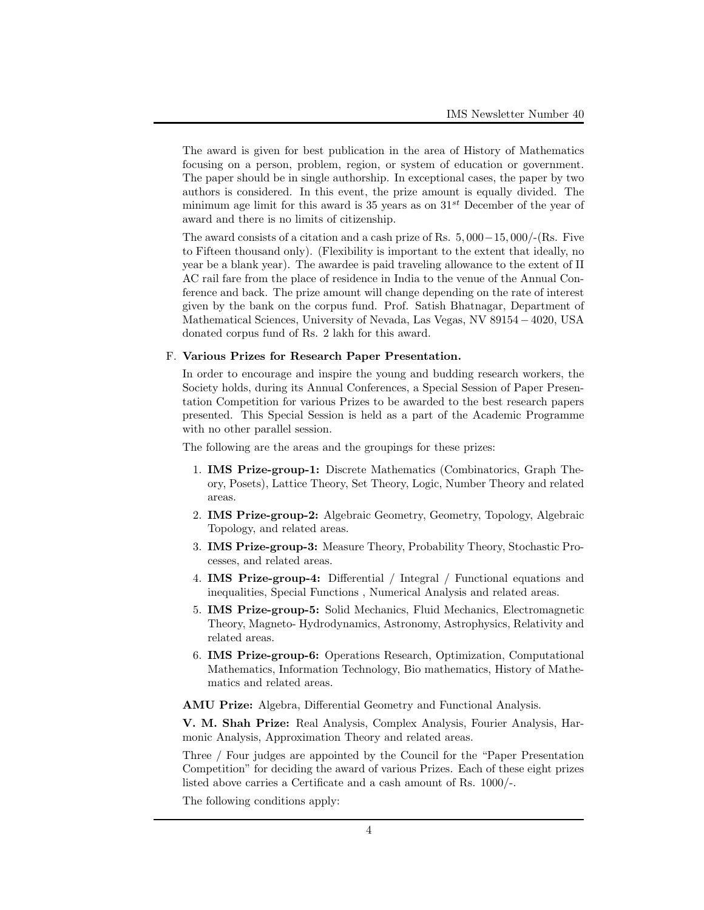The award is given for best publication in the area of History of Mathematics focusing on a person, problem, region, or system of education or government. The paper should be in single authorship. In exceptional cases, the paper by two authors is considered. In this event, the prize amount is equally divided. The minimum age limit for this award is 35 years as on  $31^{st}$  December of the year of award and there is no limits of citizenship.

The award consists of a citation and a cash prize of Rs. 5, 000−15, 000/-(Rs. Five to Fifteen thousand only). (Flexibility is important to the extent that ideally, no year be a blank year). The awardee is paid traveling allowance to the extent of II AC rail fare from the place of residence in India to the venue of the Annual Conference and back. The prize amount will change depending on the rate of interest given by the bank on the corpus fund. Prof. Satish Bhatnagar, Department of Mathematical Sciences, University of Nevada, Las Vegas, NV 89154 −4020, USA donated corpus fund of Rs. 2 lakh for this award.

#### F. Various Prizes for Research Paper Presentation.

In order to encourage and inspire the young and budding research workers, the Society holds, during its Annual Conferences, a Special Session of Paper Presentation Competition for various Prizes to be awarded to the best research papers presented. This Special Session is held as a part of the Academic Programme with no other parallel session.

The following are the areas and the groupings for these prizes:

- 1. IMS Prize-group-1: Discrete Mathematics (Combinatorics, Graph Theory, Posets), Lattice Theory, Set Theory, Logic, Number Theory and related areas.
- 2. IMS Prize-group-2: Algebraic Geometry, Geometry, Topology, Algebraic Topology, and related areas.
- 3. IMS Prize-group-3: Measure Theory, Probability Theory, Stochastic Processes, and related areas.
- 4. IMS Prize-group-4: Differential / Integral / Functional equations and inequalities, Special Functions , Numerical Analysis and related areas.
- 5. IMS Prize-group-5: Solid Mechanics, Fluid Mechanics, Electromagnetic Theory, Magneto- Hydrodynamics, Astronomy, Astrophysics, Relativity and related areas.
- 6. IMS Prize-group-6: Operations Research, Optimization, Computational Mathematics, Information Technology, Bio mathematics, History of Mathematics and related areas.

AMU Prize: Algebra, Differential Geometry and Functional Analysis.

V. M. Shah Prize: Real Analysis, Complex Analysis, Fourier Analysis, Harmonic Analysis, Approximation Theory and related areas.

Three / Four judges are appointed by the Council for the "Paper Presentation Competition" for deciding the award of various Prizes. Each of these eight prizes listed above carries a Certificate and a cash amount of Rs. 1000/-.

The following conditions apply: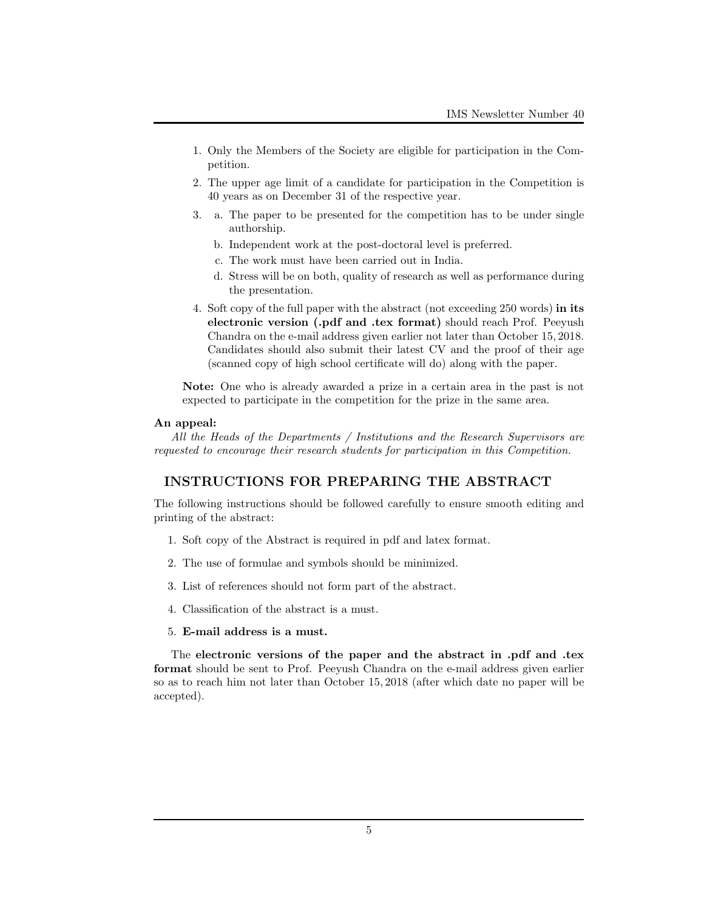- 1. Only the Members of the Society are eligible for participation in the Competition.
- 2. The upper age limit of a candidate for participation in the Competition is 40 years as on December 31 of the respective year.
- 3. a. The paper to be presented for the competition has to be under single authorship.
	- b. Independent work at the post-doctoral level is preferred.
	- c. The work must have been carried out in India.
	- d. Stress will be on both, quality of research as well as performance during the presentation.
- 4. Soft copy of the full paper with the abstract (not exceeding 250 words) in its electronic version (.pdf and .tex format) should reach Prof. Peeyush Chandra on the e-mail address given earlier not later than October 15, 2018. Candidates should also submit their latest CV and the proof of their age (scanned copy of high school certificate will do) along with the paper.

Note: One who is already awarded a prize in a certain area in the past is not expected to participate in the competition for the prize in the same area.

### An appeal:

All the Heads of the Departments / Institutions and the Research Supervisors are requested to encourage their research students for participation in this Competition.

## INSTRUCTIONS FOR PREPARING THE ABSTRACT

The following instructions should be followed carefully to ensure smooth editing and printing of the abstract:

- 1. Soft copy of the Abstract is required in pdf and latex format.
- 2. The use of formulae and symbols should be minimized.
- 3. List of references should not form part of the abstract.
- 4. Classification of the abstract is a must.
- 5. E-mail address is a must.

The electronic versions of the paper and the abstract in .pdf and .tex format should be sent to Prof. Peeyush Chandra on the e-mail address given earlier so as to reach him not later than October 15, 2018 (after which date no paper will be accepted).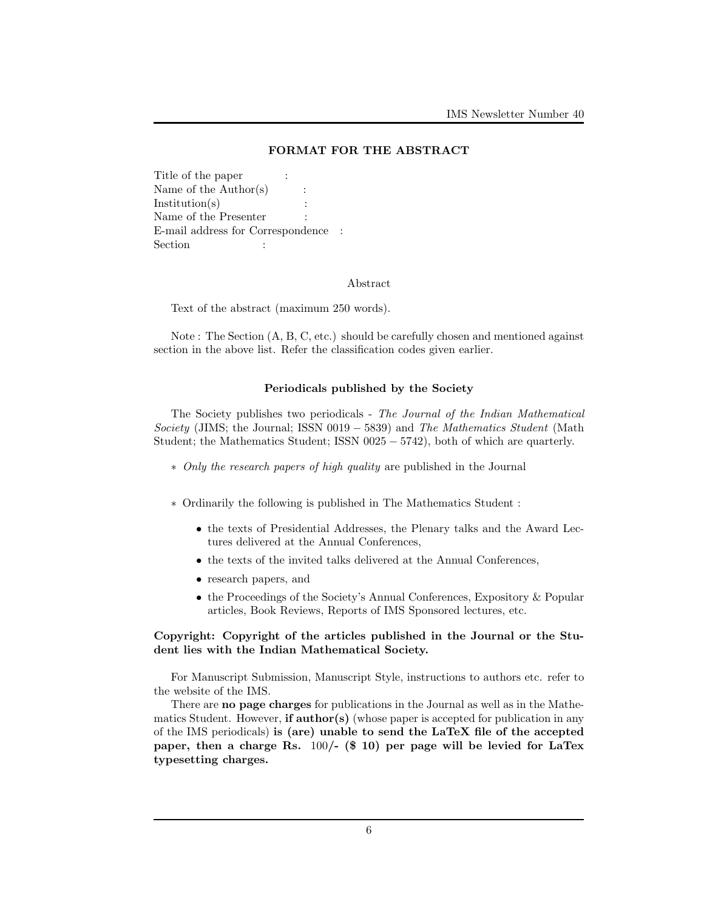## FORMAT FOR THE ABSTRACT

Title of the paper : Name of the Author(s) :  $Institution(s)$ Name of the Presenter E-mail address for Correspondence : Section :  $\qquad \qquad$  :

#### Abstract

Text of the abstract (maximum 250 words).

Note : The Section (A, B, C, etc.) should be carefully chosen and mentioned against section in the above list. Refer the classification codes given earlier.

### Periodicals published by the Society

The Society publishes two periodicals - The Journal of the Indian Mathematical Society (JIMS; the Journal; ISSN 0019  $-$  5839) and The Mathematics Student (Math Student; the Mathematics Student; ISSN 0025 − 5742), both of which are quarterly.

- ∗ Only the research papers of high quality are published in the Journal
- ∗ Ordinarily the following is published in The Mathematics Student :
	- the texts of Presidential Addresses, the Plenary talks and the Award Lectures delivered at the Annual Conferences,
	- the texts of the invited talks delivered at the Annual Conferences,
	- research papers, and
	- the Proceedings of the Society's Annual Conferences, Expository & Popular articles, Book Reviews, Reports of IMS Sponsored lectures, etc.

### Copyright: Copyright of the articles published in the Journal or the Student lies with the Indian Mathematical Society.

For Manuscript Submission, Manuscript Style, instructions to authors etc. refer to the website of the IMS.

There are no page charges for publications in the Journal as well as in the Mathematics Student. However, **if author(s)** (whose paper is accepted for publication in any of the IMS periodicals) is (are) unable to send the LaTeX file of the accepted paper, then a charge Rs. 100/- (\$ 10) per page will be levied for LaTex typesetting charges.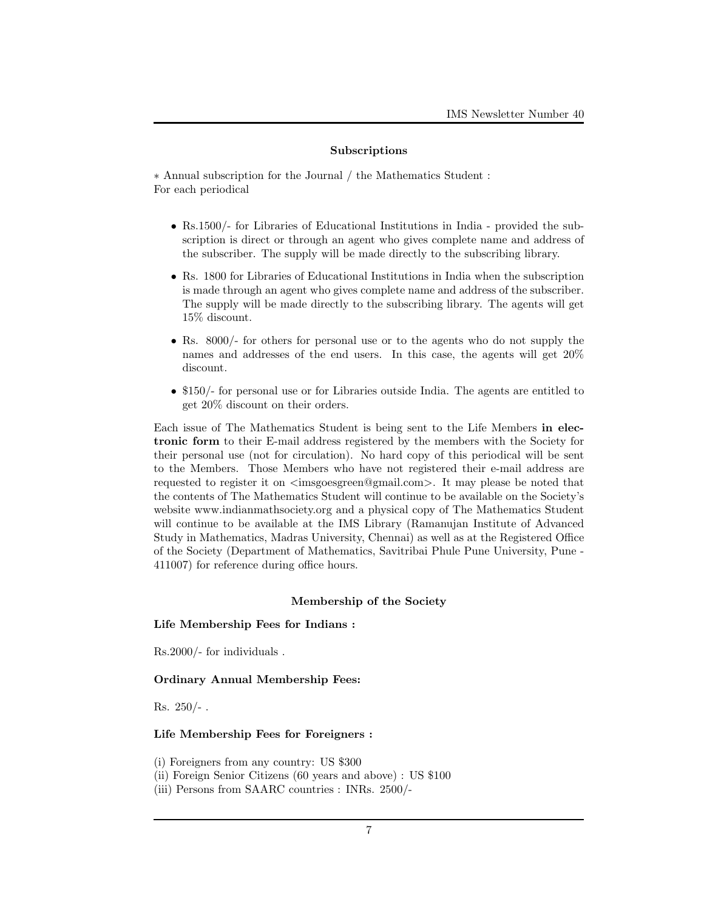### Subscriptions

∗ Annual subscription for the Journal / the Mathematics Student : For each periodical

- Rs.1500/- for Libraries of Educational Institutions in India provided the subscription is direct or through an agent who gives complete name and address of the subscriber. The supply will be made directly to the subscribing library.
- Rs. 1800 for Libraries of Educational Institutions in India when the subscription is made through an agent who gives complete name and address of the subscriber. The supply will be made directly to the subscribing library. The agents will get 15% discount.
- Rs. 8000/- for others for personal use or to the agents who do not supply the names and addresses of the end users. In this case, the agents will get 20% discount.
- \$150/- for personal use or for Libraries outside India. The agents are entitled to get 20% discount on their orders.

Each issue of The Mathematics Student is being sent to the Life Members in electronic form to their E-mail address registered by the members with the Society for their personal use (not for circulation). No hard copy of this periodical will be sent to the Members. Those Members who have not registered their e-mail address are requested to register it on  $\langle\text{imsgoesgreen@gmail.com}\rangle$ . It may please be noted that the contents of The Mathematics Student will continue to be available on the Society's website www.indianmathsociety.org and a physical copy of The Mathematics Student will continue to be available at the IMS Library (Ramanujan Institute of Advanced Study in Mathematics, Madras University, Chennai) as well as at the Registered Office of the Society (Department of Mathematics, Savitribai Phule Pune University, Pune - 411007) for reference during office hours.

## Membership of the Society

## Life Membership Fees for Indians :

Rs.2000/- for individuals .

### Ordinary Annual Membership Fees:

Rs.  $250/-$ .

## Life Membership Fees for Foreigners :

(i) Foreigners from any country: US \$300

- (ii) Foreign Senior Citizens (60 years and above) : US \$100
- (iii) Persons from SAARC countries : INRs. 2500/-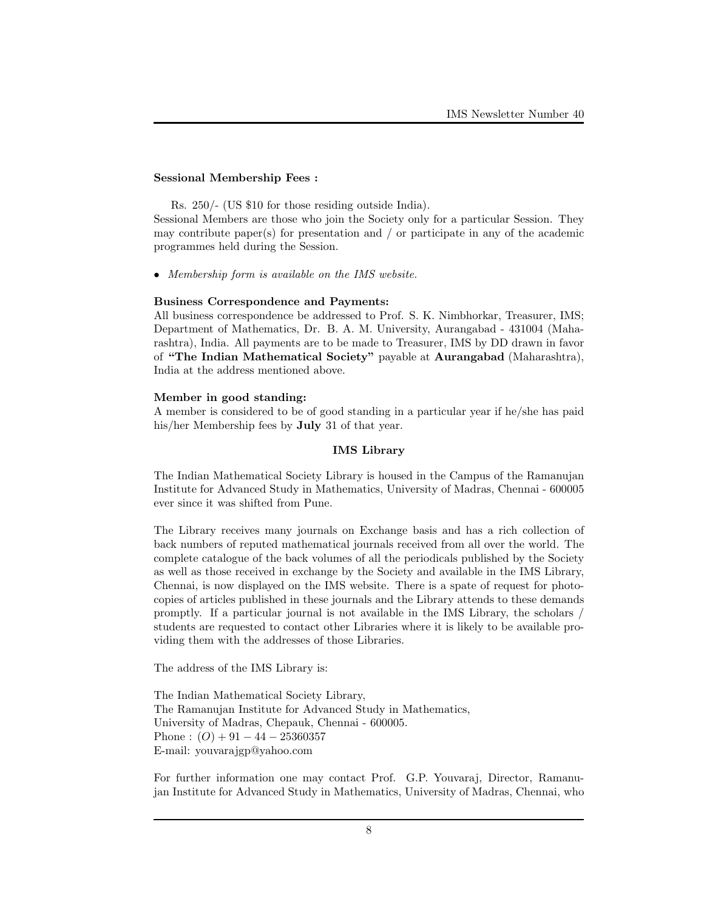### Sessional Membership Fees :

Rs. 250/- (US \$10 for those residing outside India).

Sessional Members are those who join the Society only for a particular Session. They may contribute paper(s) for presentation and / or participate in any of the academic programmes held during the Session.

• Membership form is available on the IMS website.

#### Business Correspondence and Payments:

All business correspondence be addressed to Prof. S. K. Nimbhorkar, Treasurer, IMS; Department of Mathematics, Dr. B. A. M. University, Aurangabad - 431004 (Maharashtra), India. All payments are to be made to Treasurer, IMS by DD drawn in favor of "The Indian Mathematical Society" payable at Aurangabad (Maharashtra), India at the address mentioned above.

### Member in good standing:

A member is considered to be of good standing in a particular year if he/she has paid his/her Membership fees by July 31 of that year.

## IMS Library

The Indian Mathematical Society Library is housed in the Campus of the Ramanujan Institute for Advanced Study in Mathematics, University of Madras, Chennai - 600005 ever since it was shifted from Pune.

The Library receives many journals on Exchange basis and has a rich collection of back numbers of reputed mathematical journals received from all over the world. The complete catalogue of the back volumes of all the periodicals published by the Society as well as those received in exchange by the Society and available in the IMS Library, Chennai, is now displayed on the IMS website. There is a spate of request for photocopies of articles published in these journals and the Library attends to these demands promptly. If a particular journal is not available in the IMS Library, the scholars / students are requested to contact other Libraries where it is likely to be available providing them with the addresses of those Libraries.

The address of the IMS Library is:

The Indian Mathematical Society Library, The Ramanujan Institute for Advanced Study in Mathematics, University of Madras, Chepauk, Chennai - 600005. Phone :  $(O) + 91 - 44 - 25360357$ E-mail: youvarajgp@yahoo.com

For further information one may contact Prof. G.P. Youvaraj, Director, Ramanujan Institute for Advanced Study in Mathematics, University of Madras, Chennai, who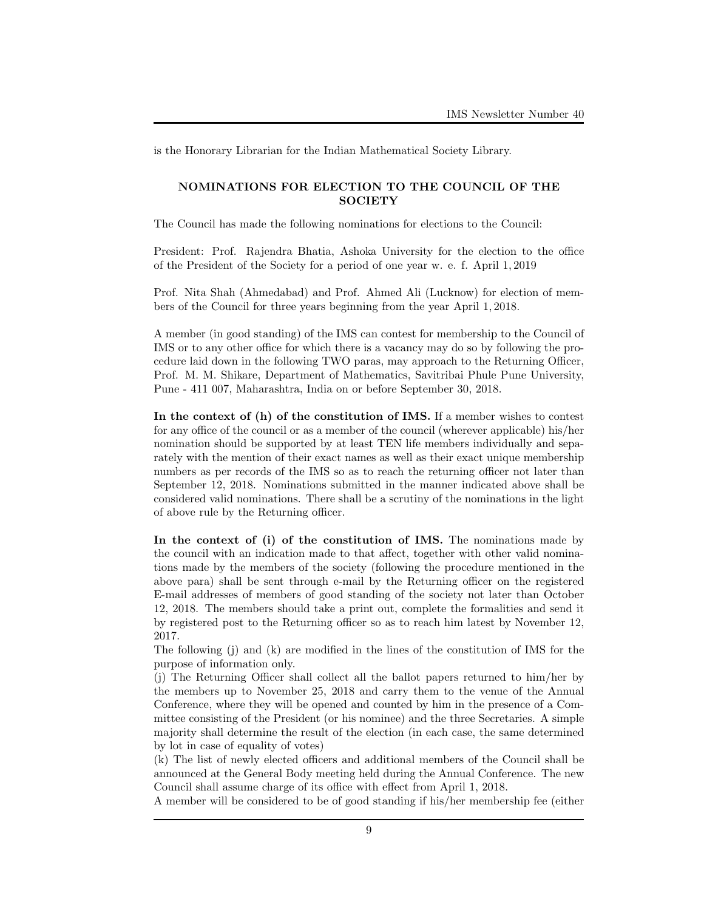is the Honorary Librarian for the Indian Mathematical Society Library.

## NOMINATIONS FOR ELECTION TO THE COUNCIL OF THE **SOCIETY**

The Council has made the following nominations for elections to the Council:

President: Prof. Rajendra Bhatia, Ashoka University for the election to the office of the President of the Society for a period of one year w. e. f. April 1, 2019

Prof. Nita Shah (Ahmedabad) and Prof. Ahmed Ali (Lucknow) for election of members of the Council for three years beginning from the year April 1, 2018.

A member (in good standing) of the IMS can contest for membership to the Council of IMS or to any other office for which there is a vacancy may do so by following the procedure laid down in the following TWO paras, may approach to the Returning Officer, Prof. M. M. Shikare, Department of Mathematics, Savitribai Phule Pune University, Pune - 411 007, Maharashtra, India on or before September 30, 2018.

In the context of (h) of the constitution of IMS. If a member wishes to contest for any office of the council or as a member of the council (wherever applicable) his/her nomination should be supported by at least TEN life members individually and separately with the mention of their exact names as well as their exact unique membership numbers as per records of the IMS so as to reach the returning officer not later than September 12, 2018. Nominations submitted in the manner indicated above shall be considered valid nominations. There shall be a scrutiny of the nominations in the light of above rule by the Returning officer.

In the context of (i) of the constitution of IMS. The nominations made by the council with an indication made to that affect, together with other valid nominations made by the members of the society (following the procedure mentioned in the above para) shall be sent through e-mail by the Returning officer on the registered E-mail addresses of members of good standing of the society not later than October 12, 2018. The members should take a print out, complete the formalities and send it by registered post to the Returning officer so as to reach him latest by November 12, 2017.

The following (j) and (k) are modified in the lines of the constitution of IMS for the purpose of information only.

(j) The Returning Officer shall collect all the ballot papers returned to him/her by the members up to November 25, 2018 and carry them to the venue of the Annual Conference, where they will be opened and counted by him in the presence of a Committee consisting of the President (or his nominee) and the three Secretaries. A simple majority shall determine the result of the election (in each case, the same determined by lot in case of equality of votes)

(k) The list of newly elected officers and additional members of the Council shall be announced at the General Body meeting held during the Annual Conference. The new Council shall assume charge of its office with effect from April 1, 2018.

A member will be considered to be of good standing if his/her membership fee (either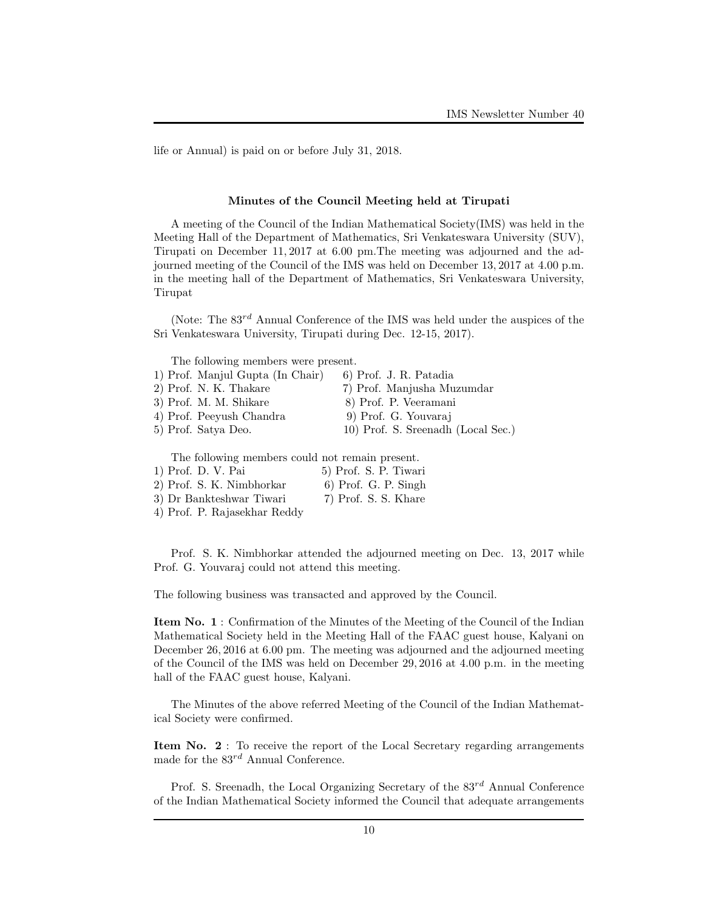life or Annual) is paid on or before July 31, 2018.

#### Minutes of the Council Meeting held at Tirupati

A meeting of the Council of the Indian Mathematical Society(IMS) was held in the Meeting Hall of the Department of Mathematics, Sri Venkateswara University (SUV), Tirupati on December 11, 2017 at 6.00 pm.The meeting was adjourned and the adjourned meeting of the Council of the IMS was held on December 13, 2017 at 4.00 p.m. in the meeting hall of the Department of Mathematics, Sri Venkateswara University, Tirupat

(Note: The  $83^{rd}$  Annual Conference of the IMS was held under the auspices of the Sri Venkateswara University, Tirupati during Dec. 12-15, 2017).

The following members were present.

| 1) Prof. Manjul Gupta (In Chair)                                                                                                                                                                                                                                                                                   | 6) Prof. J. R. Patadia                                         |
|--------------------------------------------------------------------------------------------------------------------------------------------------------------------------------------------------------------------------------------------------------------------------------------------------------------------|----------------------------------------------------------------|
| 2) Prof. N. K. Thakare                                                                                                                                                                                                                                                                                             | 7) Prof. Manjusha Muzumdar                                     |
| 3) Prof. M. M. Shikare                                                                                                                                                                                                                                                                                             | 8) Prof. P. Veeramani                                          |
| $\sqrt{2}$ $\sqrt{2}$ $\sqrt{2}$ $\sqrt{2}$ $\sqrt{2}$ $\sqrt{2}$ $\sqrt{2}$ $\sqrt{2}$ $\sqrt{2}$ $\sqrt{2}$ $\sqrt{2}$ $\sqrt{2}$ $\sqrt{2}$ $\sqrt{2}$ $\sqrt{2}$ $\sqrt{2}$ $\sqrt{2}$ $\sqrt{2}$ $\sqrt{2}$ $\sqrt{2}$ $\sqrt{2}$ $\sqrt{2}$ $\sqrt{2}$ $\sqrt{2}$ $\sqrt{2}$ $\sqrt{2}$ $\sqrt{2}$ $\sqrt{2$ | $\wedge$ $\wedge$ $\wedge$ $\wedge$ $\wedge$ $\wedge$ $\wedge$ |

4) Prof. Peeyush Chandra 9) Prof. G. Youvaraj 5) Prof. Satya Deo. 10) Prof. S. Sreenadh (Local Sec.)

The following members could not remain present.

| 1) Prof. D. V. Pai           | 5) Prof. S. P. Tiwari  |
|------------------------------|------------------------|
| 2) Prof. S. K. Nimbhorkar    | $6)$ Prof. G. P. Singh |
| 3) Dr Bankteshwar Tiwari     | 7) Prof. S. S. Khare   |
| 4) Prof. P. Rajasekhar Reddy |                        |

Prof. S. K. Nimbhorkar attended the adjourned meeting on Dec. 13, 2017 while Prof. G. Youvaraj could not attend this meeting.

The following business was transacted and approved by the Council.

Item No. 1 : Confirmation of the Minutes of the Meeting of the Council of the Indian Mathematical Society held in the Meeting Hall of the FAAC guest house, Kalyani on December 26, 2016 at 6.00 pm. The meeting was adjourned and the adjourned meeting of the Council of the IMS was held on December 29, 2016 at 4.00 p.m. in the meeting hall of the FAAC guest house, Kalyani.

The Minutes of the above referred Meeting of the Council of the Indian Mathematical Society were confirmed.

Item No. 2 : To receive the report of the Local Secretary regarding arrangements made for the  $83^{rd}$  Annual Conference.

Prof. S. Sreenadh, the Local Organizing Secretary of the  $83^{rd}$  Annual Conference of the Indian Mathematical Society informed the Council that adequate arrangements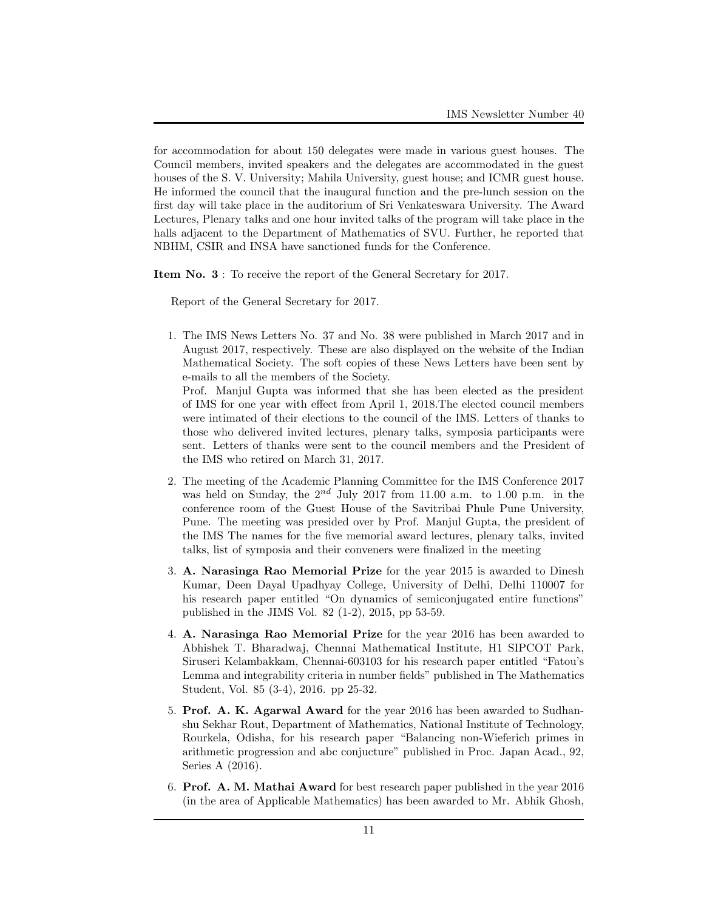for accommodation for about 150 delegates were made in various guest houses. The Council members, invited speakers and the delegates are accommodated in the guest houses of the S. V. University; Mahila University, guest house; and ICMR guest house. He informed the council that the inaugural function and the pre-lunch session on the first day will take place in the auditorium of Sri Venkateswara University. The Award Lectures, Plenary talks and one hour invited talks of the program will take place in the halls adjacent to the Department of Mathematics of SVU. Further, he reported that NBHM, CSIR and INSA have sanctioned funds for the Conference.

Item No. 3 : To receive the report of the General Secretary for 2017.

Report of the General Secretary for 2017.

1. The IMS News Letters No. 37 and No. 38 were published in March 2017 and in August 2017, respectively. These are also displayed on the website of the Indian Mathematical Society. The soft copies of these News Letters have been sent by e-mails to all the members of the Society.

Prof. Manjul Gupta was informed that she has been elected as the president of IMS for one year with effect from April 1, 2018.The elected council members were intimated of their elections to the council of the IMS. Letters of thanks to those who delivered invited lectures, plenary talks, symposia participants were sent. Letters of thanks were sent to the council members and the President of the IMS who retired on March 31, 2017.

- 2. The meeting of the Academic Planning Committee for the IMS Conference 2017 was held on Sunday, the  $2^{nd}$  July 2017 from 11.00 a.m. to 1.00 p.m. in the conference room of the Guest House of the Savitribai Phule Pune University, Pune. The meeting was presided over by Prof. Manjul Gupta, the president of the IMS The names for the five memorial award lectures, plenary talks, invited talks, list of symposia and their conveners were finalized in the meeting
- 3. A. Narasinga Rao Memorial Prize for the year 2015 is awarded to Dinesh Kumar, Deen Dayal Upadhyay College, University of Delhi, Delhi 110007 for his research paper entitled "On dynamics of semiconjugated entire functions" published in the JIMS Vol. 82 (1-2), 2015, pp 53-59.
- 4. A. Narasinga Rao Memorial Prize for the year 2016 has been awarded to Abhishek T. Bharadwaj, Chennai Mathematical Institute, H1 SIPCOT Park, Siruseri Kelambakkam, Chennai-603103 for his research paper entitled "Fatou's Lemma and integrability criteria in number fields" published in The Mathematics Student, Vol. 85 (3-4), 2016. pp 25-32.
- 5. Prof. A. K. Agarwal Award for the year 2016 has been awarded to Sudhanshu Sekhar Rout, Department of Mathematics, National Institute of Technology, Rourkela, Odisha, for his research paper "Balancing non-Wieferich primes in arithmetic progression and abc conjucture" published in Proc. Japan Acad., 92, Series A (2016).
- 6. Prof. A. M. Mathai Award for best research paper published in the year 2016 (in the area of Applicable Mathematics) has been awarded to Mr. Abhik Ghosh,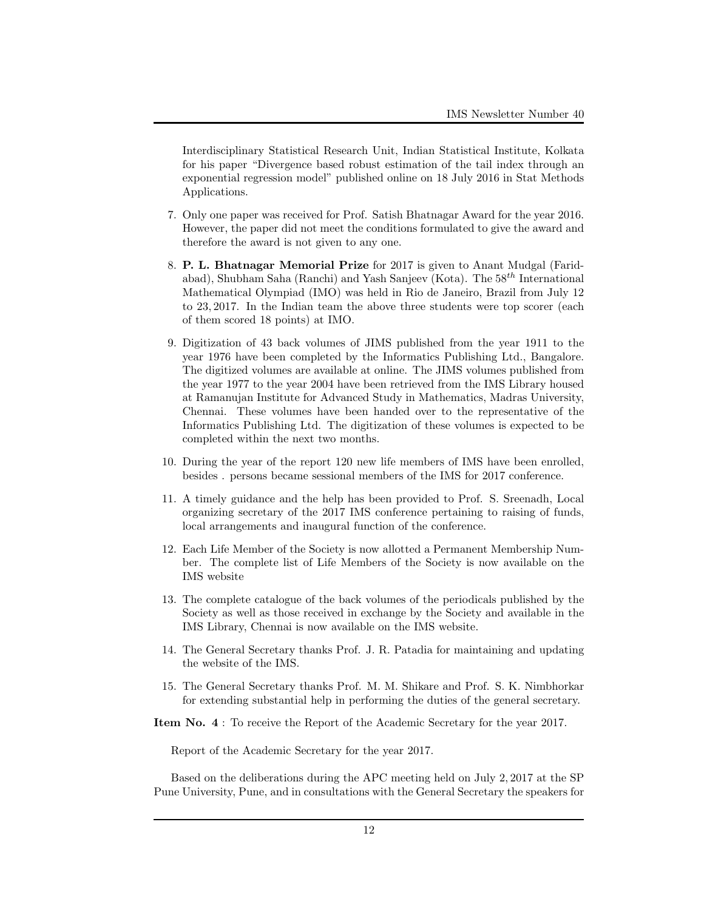Interdisciplinary Statistical Research Unit, Indian Statistical Institute, Kolkata for his paper "Divergence based robust estimation of the tail index through an exponential regression model" published online on 18 July 2016 in Stat Methods Applications.

- 7. Only one paper was received for Prof. Satish Bhatnagar Award for the year 2016. However, the paper did not meet the conditions formulated to give the award and therefore the award is not given to any one.
- 8. P. L. Bhatnagar Memorial Prize for 2017 is given to Anant Mudgal (Faridabad), Shubham Saha (Ranchi) and Yash Sanjeev (Kota). The  $58<sup>th</sup>$  International Mathematical Olympiad (IMO) was held in Rio de Janeiro, Brazil from July 12 to 23, 2017. In the Indian team the above three students were top scorer (each of them scored 18 points) at IMO.
- 9. Digitization of 43 back volumes of JIMS published from the year 1911 to the year 1976 have been completed by the Informatics Publishing Ltd., Bangalore. The digitized volumes are available at online. The JIMS volumes published from the year 1977 to the year 2004 have been retrieved from the IMS Library housed at Ramanujan Institute for Advanced Study in Mathematics, Madras University, Chennai. These volumes have been handed over to the representative of the Informatics Publishing Ltd. The digitization of these volumes is expected to be completed within the next two months.
- 10. During the year of the report 120 new life members of IMS have been enrolled, besides . persons became sessional members of the IMS for 2017 conference.
- 11. A timely guidance and the help has been provided to Prof. S. Sreenadh, Local organizing secretary of the 2017 IMS conference pertaining to raising of funds, local arrangements and inaugural function of the conference.
- 12. Each Life Member of the Society is now allotted a Permanent Membership Number. The complete list of Life Members of the Society is now available on the IMS website
- 13. The complete catalogue of the back volumes of the periodicals published by the Society as well as those received in exchange by the Society and available in the IMS Library, Chennai is now available on the IMS website.
- 14. The General Secretary thanks Prof. J. R. Patadia for maintaining and updating the website of the IMS.
- 15. The General Secretary thanks Prof. M. M. Shikare and Prof. S. K. Nimbhorkar for extending substantial help in performing the duties of the general secretary.
- Item No. 4 : To receive the Report of the Academic Secretary for the year 2017.

Report of the Academic Secretary for the year 2017.

Based on the deliberations during the APC meeting held on July 2, 2017 at the SP Pune University, Pune, and in consultations with the General Secretary the speakers for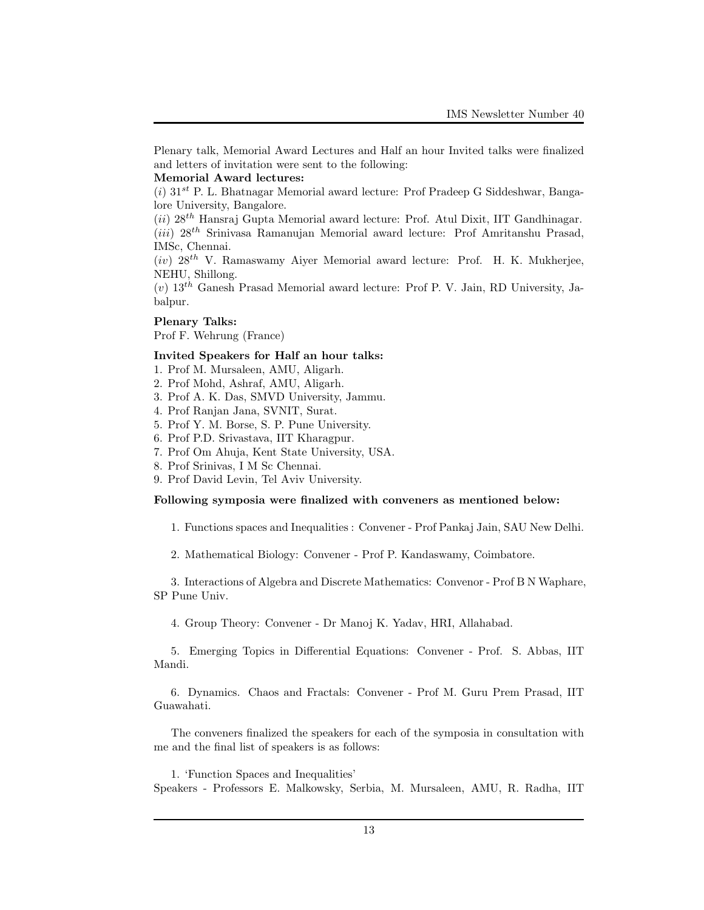Plenary talk, Memorial Award Lectures and Half an hour Invited talks were finalized and letters of invitation were sent to the following:

#### Memorial Award lectures:

 $(i)$  31<sup>st</sup> P. L. Bhatnagar Memorial award lecture: Prof Pradeep G Siddeshwar, Bangalore University, Bangalore.

 $(ii)$  28<sup>th</sup> Hansraj Gupta Memorial award lecture: Prof. Atul Dixit, IIT Gandhinagar.  $(iii)$  28<sup>th</sup> Srinivasa Ramanujan Memorial award lecture: Prof Amritanshu Prasad, IMSc, Chennai.

 $(iv)$  28<sup>th</sup> V. Ramaswamy Aiyer Memorial award lecture: Prof. H. K. Mukherjee, NEHU, Shillong.

 $(v)$  13<sup>th</sup> Ganesh Prasad Memorial award lecture: Prof P. V. Jain, RD University, Jabalpur.

#### Plenary Talks:

Prof F. Wehrung (France)

## Invited Speakers for Half an hour talks:

- 1. Prof M. Mursaleen, AMU, Aligarh.
- 2. Prof Mohd, Ashraf, AMU, Aligarh.
- 3. Prof A. K. Das, SMVD University, Jammu.
- 4. Prof Ranjan Jana, SVNIT, Surat.
- 5. Prof Y. M. Borse, S. P. Pune University.
- 6. Prof P.D. Srivastava, IIT Kharagpur.
- 7. Prof Om Ahuja, Kent State University, USA.
- 8. Prof Srinivas, I M Sc Chennai.
- 9. Prof David Levin, Tel Aviv University.

#### Following symposia were finalized with conveners as mentioned below:

1. Functions spaces and Inequalities : Convener - Prof Pankaj Jain, SAU New Delhi.

2. Mathematical Biology: Convener - Prof P. Kandaswamy, Coimbatore.

3. Interactions of Algebra and Discrete Mathematics: Convenor - Prof B N Waphare, SP Pune Univ.

4. Group Theory: Convener - Dr Manoj K. Yadav, HRI, Allahabad.

5. Emerging Topics in Differential Equations: Convener - Prof. S. Abbas, IIT Mandi.

6. Dynamics. Chaos and Fractals: Convener - Prof M. Guru Prem Prasad, IIT Guawahati.

The conveners finalized the speakers for each of the symposia in consultation with me and the final list of speakers is as follows:

1. 'Function Spaces and Inequalities'

Speakers - Professors E. Malkowsky, Serbia, M. Mursaleen, AMU, R. Radha, IIT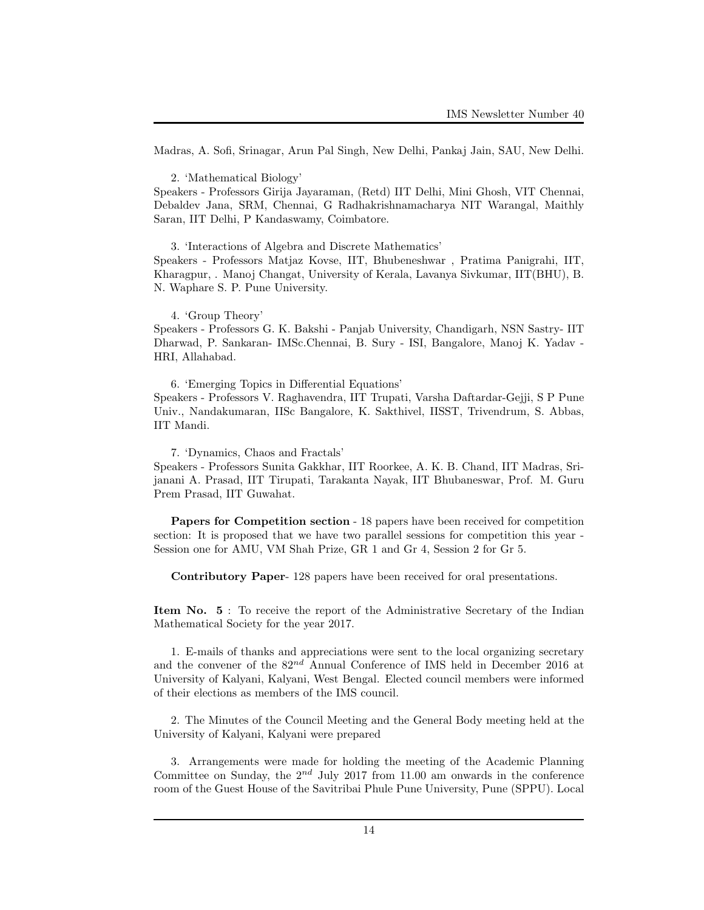Madras, A. Sofi, Srinagar, Arun Pal Singh, New Delhi, Pankaj Jain, SAU, New Delhi.

2. 'Mathematical Biology'

Speakers - Professors Girija Jayaraman, (Retd) IIT Delhi, Mini Ghosh, VIT Chennai, Debaldev Jana, SRM, Chennai, G Radhakrishnamacharya NIT Warangal, Maithly Saran, IIT Delhi, P Kandaswamy, Coimbatore.

3. 'Interactions of Algebra and Discrete Mathematics' Speakers - Professors Matjaz Kovse, IIT, Bhubeneshwar , Pratima Panigrahi, IIT, Kharagpur, . Manoj Changat, University of Kerala, Lavanya Sivkumar, IIT(BHU), B. N. Waphare S. P. Pune University.

4. 'Group Theory'

Speakers - Professors G. K. Bakshi - Panjab University, Chandigarh, NSN Sastry- IIT Dharwad, P. Sankaran- IMSc.Chennai, B. Sury - ISI, Bangalore, Manoj K. Yadav - HRI, Allahabad.

6. 'Emerging Topics in Differential Equations' Speakers - Professors V. Raghavendra, IIT Trupati, Varsha Daftardar-Gejji, S P Pune Univ., Nandakumaran, IISc Bangalore, K. Sakthivel, IISST, Trivendrum, S. Abbas, IIT Mandi.

7. 'Dynamics, Chaos and Fractals'

Speakers - Professors Sunita Gakkhar, IIT Roorkee, A. K. B. Chand, IIT Madras, Srijanani A. Prasad, IIT Tirupati, Tarakanta Nayak, IIT Bhubaneswar, Prof. M. Guru Prem Prasad, IIT Guwahat.

Papers for Competition section - 18 papers have been received for competition section: It is proposed that we have two parallel sessions for competition this year - Session one for AMU, VM Shah Prize, GR 1 and Gr 4, Session 2 for Gr 5.

Contributory Paper- 128 papers have been received for oral presentations.

Item No. 5 : To receive the report of the Administrative Secretary of the Indian Mathematical Society for the year 2017.

1. E-mails of thanks and appreciations were sent to the local organizing secretary and the convener of the  $82^{nd}$  Annual Conference of IMS held in December 2016 at University of Kalyani, Kalyani, West Bengal. Elected council members were informed of their elections as members of the IMS council.

2. The Minutes of the Council Meeting and the General Body meeting held at the University of Kalyani, Kalyani were prepared

3. Arrangements were made for holding the meeting of the Academic Planning Committee on Sunday, the  $2^{nd}$  July 2017 from 11.00 am onwards in the conference room of the Guest House of the Savitribai Phule Pune University, Pune (SPPU). Local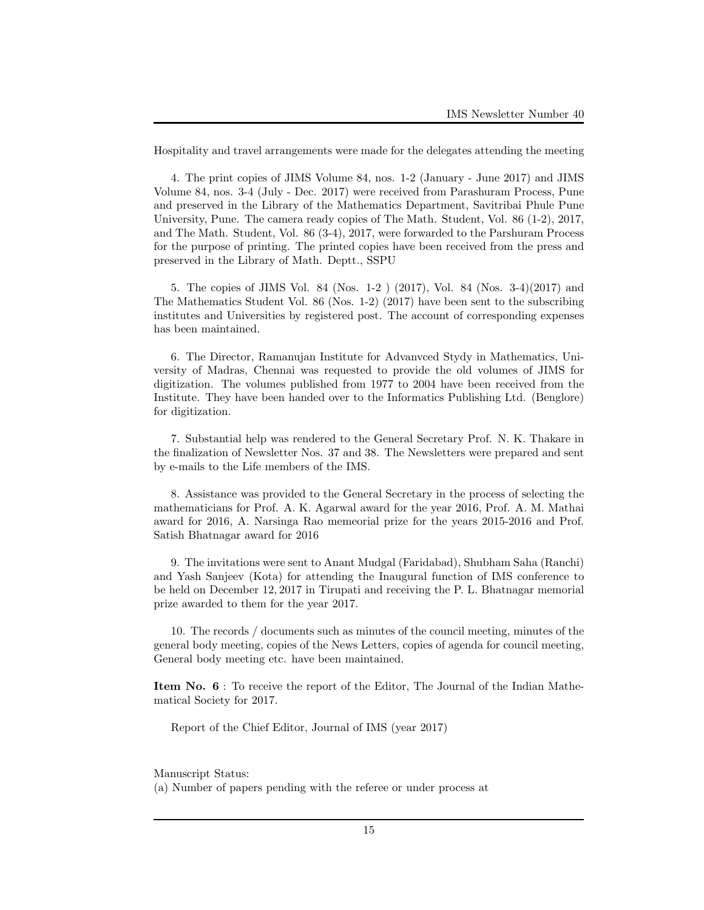Hospitality and travel arrangements were made for the delegates attending the meeting

4. The print copies of JIMS Volume 84, nos. 1-2 (January - June 2017) and JIMS Volume 84, nos. 3-4 (July - Dec. 2017) were received from Parashuram Process, Pune and preserved in the Library of the Mathematics Department, Savitribai Phule Pune University, Pune. The camera ready copies of The Math. Student, Vol. 86 (1-2), 2017, and The Math. Student, Vol. 86 (3-4), 2017, were forwarded to the Parshuram Process for the purpose of printing. The printed copies have been received from the press and preserved in the Library of Math. Deptt., SSPU

5. The copies of JIMS Vol. 84 (Nos. 1-2 ) (2017), Vol. 84 (Nos. 3-4)(2017) and The Mathematics Student Vol. 86 (Nos. 1-2) (2017) have been sent to the subscribing institutes and Universities by registered post. The account of corresponding expenses has been maintained.

6. The Director, Ramanujan Institute for Advanvced Stydy in Mathematics, University of Madras, Chennai was requested to provide the old volumes of JIMS for digitization. The volumes published from 1977 to 2004 have been received from the Institute. They have been handed over to the Informatics Publishing Ltd. (Benglore) for digitization.

7. Substantial help was rendered to the General Secretary Prof. N. K. Thakare in the finalization of Newsletter Nos. 37 and 38. The Newsletters were prepared and sent by e-mails to the Life members of the IMS.

8. Assistance was provided to the General Secretary in the process of selecting the mathematicians for Prof. A. K. Agarwal award for the year 2016, Prof. A. M. Mathai award for 2016, A. Narsinga Rao memeorial prize for the years 2015-2016 and Prof. Satish Bhatnagar award for 2016

9. The invitations were sent to Anant Mudgal (Faridabad), Shubham Saha (Ranchi) and Yash Sanjeev (Kota) for attending the Inaugural function of IMS conference to be held on December 12, 2017 in Tirupati and receiving the P. L. Bhatnagar memorial prize awarded to them for the year 2017.

10. The records / documents such as minutes of the council meeting, minutes of the general body meeting, copies of the News Letters, copies of agenda for council meeting, General body meeting etc. have been maintained.

Item No. 6 : To receive the report of the Editor, The Journal of the Indian Mathematical Society for 2017.

Report of the Chief Editor, Journal of IMS (year 2017)

Manuscript Status:

(a) Number of papers pending with the referee or under process at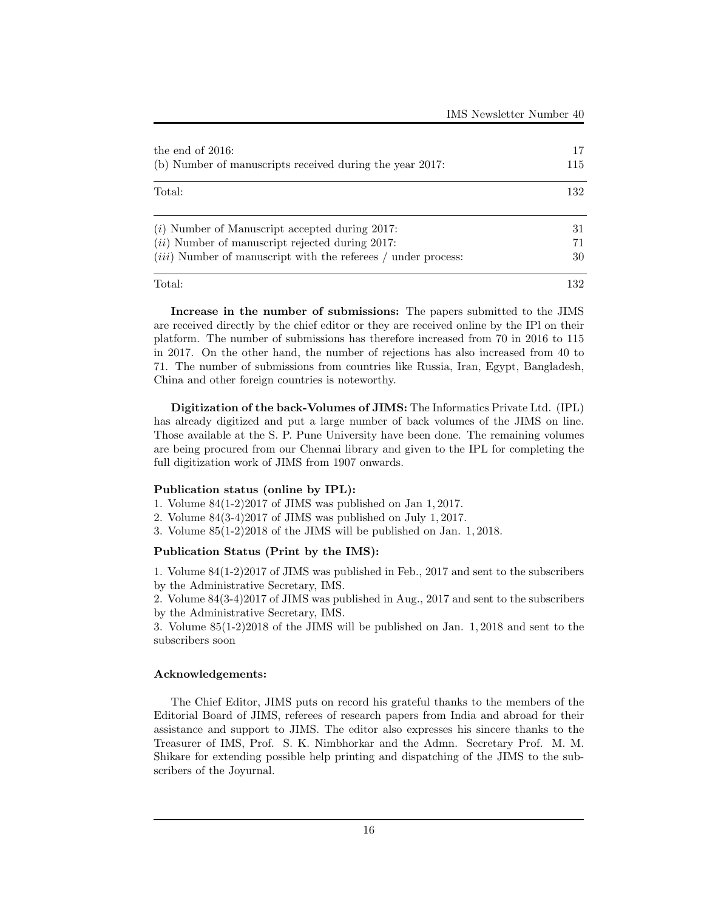| the end of $2016$ :<br>(b) Number of manuscripts received during the year 2017. | 17<br>115<br>132 |
|---------------------------------------------------------------------------------|------------------|
| Total:                                                                          |                  |
| $(i)$ Number of Manuscript accepted during 2017:                                | 31               |
| $(ii)$ Number of manuscript rejected during 2017:                               | 71               |
| $(iii)$ Number of manuscript with the referees / under process:                 | 30               |
| Total:                                                                          | 132              |

Increase in the number of submissions: The papers submitted to the JIMS are received directly by the chief editor or they are received online by the IPl on their platform. The number of submissions has therefore increased from 70 in 2016 to 115 in 2017. On the other hand, the number of rejections has also increased from 40 to 71. The number of submissions from countries like Russia, Iran, Egypt, Bangladesh, China and other foreign countries is noteworthy.

Digitization of the back-Volumes of JIMS: The Informatics Private Ltd. (IPL) has already digitized and put a large number of back volumes of the JIMS on line. Those available at the S. P. Pune University have been done. The remaining volumes are being procured from our Chennai library and given to the IPL for completing the full digitization work of JIMS from 1907 onwards.

## Publication status (online by IPL):

- 1. Volume 84(1-2)2017 of JIMS was published on Jan 1, 2017.
- 2. Volume 84(3-4)2017 of JIMS was published on July 1, 2017.
- 3. Volume 85(1-2)2018 of the JIMS will be published on Jan. 1, 2018.

## Publication Status (Print by the IMS):

1. Volume 84(1-2)2017 of JIMS was published in Feb., 2017 and sent to the subscribers by the Administrative Secretary, IMS.

2. Volume 84(3-4)2017 of JIMS was published in Aug., 2017 and sent to the subscribers by the Administrative Secretary, IMS.

3. Volume 85(1-2)2018 of the JIMS will be published on Jan. 1, 2018 and sent to the subscribers soon

## Acknowledgements:

The Chief Editor, JIMS puts on record his grateful thanks to the members of the Editorial Board of JIMS, referees of research papers from India and abroad for their assistance and support to JIMS. The editor also expresses his sincere thanks to the Treasurer of IMS, Prof. S. K. Nimbhorkar and the Admn. Secretary Prof. M. M. Shikare for extending possible help printing and dispatching of the JIMS to the subscribers of the Joyurnal.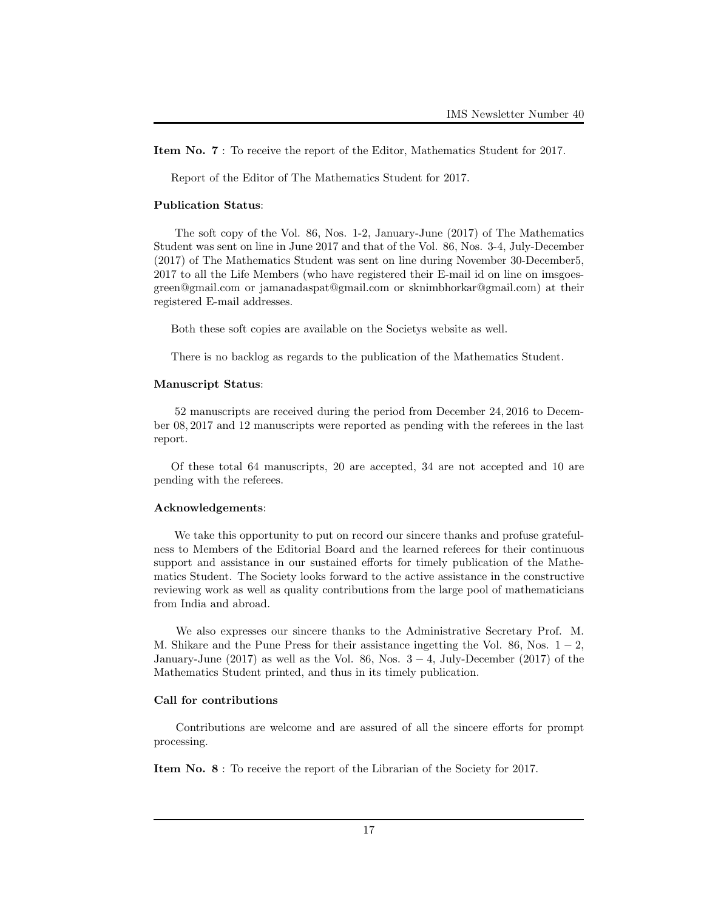Item No. 7 : To receive the report of the Editor, Mathematics Student for 2017.

Report of the Editor of The Mathematics Student for 2017.

#### Publication Status:

The soft copy of the Vol. 86, Nos. 1-2, January-June (2017) of The Mathematics Student was sent on line in June 2017 and that of the Vol. 86, Nos. 3-4, July-December (2017) of The Mathematics Student was sent on line during November 30-December5, 2017 to all the Life Members (who have registered their E-mail id on line on imsgoesgreen@gmail.com or jamanadaspat@gmail.com or sknimbhorkar@gmail.com) at their registered E-mail addresses.

Both these soft copies are available on the Societys website as well.

There is no backlog as regards to the publication of the Mathematics Student.

### Manuscript Status:

52 manuscripts are received during the period from December 24, 2016 to December 08, 2017 and 12 manuscripts were reported as pending with the referees in the last report.

Of these total 64 manuscripts, 20 are accepted, 34 are not accepted and 10 are pending with the referees.

#### Acknowledgements:

We take this opportunity to put on record our sincere thanks and profuse gratefulness to Members of the Editorial Board and the learned referees for their continuous support and assistance in our sustained efforts for timely publication of the Mathematics Student. The Society looks forward to the active assistance in the constructive reviewing work as well as quality contributions from the large pool of mathematicians from India and abroad.

We also expresses our sincere thanks to the Administrative Secretary Prof. M. M. Shikare and the Pune Press for their assistance ingetting the Vol. 86, Nos.  $1 - 2$ , January-June (2017) as well as the Vol. 86, Nos.  $3 - 4$ , July-December (2017) of the Mathematics Student printed, and thus in its timely publication.

## Call for contributions

Contributions are welcome and are assured of all the sincere efforts for prompt processing.

Item No. 8 : To receive the report of the Librarian of the Society for 2017.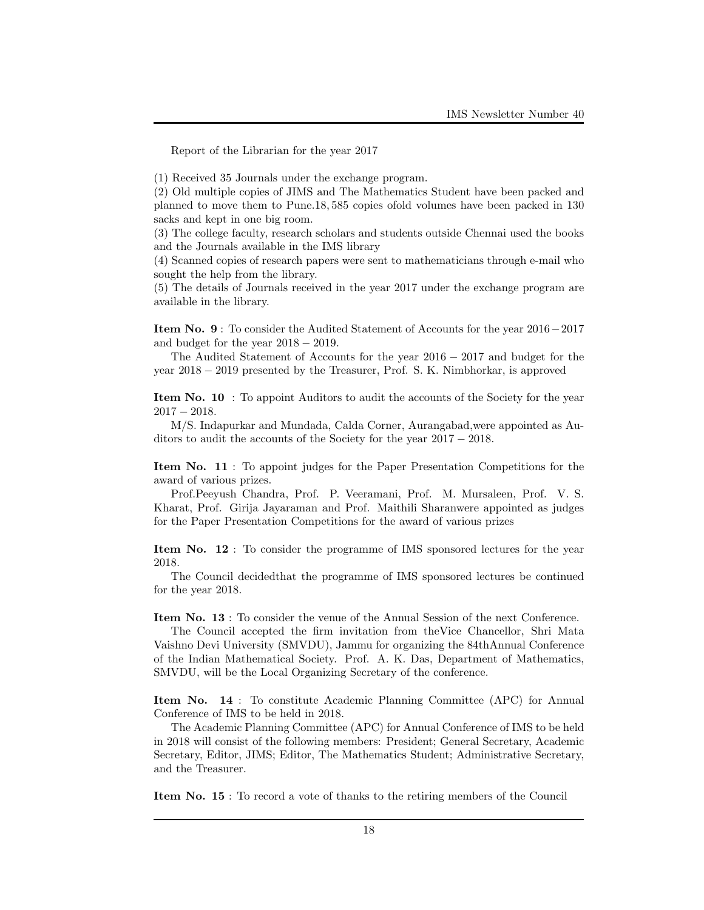Report of the Librarian for the year 2017

(1) Received 35 Journals under the exchange program.

(2) Old multiple copies of JIMS and The Mathematics Student have been packed and planned to move them to Pune.18, 585 copies ofold volumes have been packed in 130 sacks and kept in one big room.

(3) The college faculty, research scholars and students outside Chennai used the books and the Journals available in the IMS library

(4) Scanned copies of research papers were sent to mathematicians through e-mail who sought the help from the library.

(5) The details of Journals received in the year 2017 under the exchange program are available in the library.

Item No. 9 : To consider the Audited Statement of Accounts for the year 2016−2017 and budget for the year  $2018 - 2019$ .

The Audited Statement of Accounts for the year 2016 − 2017 and budget for the year 2018 − 2019 presented by the Treasurer, Prof. S. K. Nimbhorkar, is approved

Item No. 10 : To appoint Auditors to audit the accounts of the Society for the year 2017 − 2018.

M/S. Indapurkar and Mundada, Calda Corner, Aurangabad,were appointed as Auditors to audit the accounts of the Society for the year 2017 − 2018.

Item No. 11 : To appoint judges for the Paper Presentation Competitions for the award of various prizes.

Prof.Peeyush Chandra, Prof. P. Veeramani, Prof. M. Mursaleen, Prof. V. S. Kharat, Prof. Girija Jayaraman and Prof. Maithili Sharanwere appointed as judges for the Paper Presentation Competitions for the award of various prizes

Item No. 12 : To consider the programme of IMS sponsored lectures for the year 2018.

The Council decidedthat the programme of IMS sponsored lectures be continued for the year 2018.

Item No. 13 : To consider the venue of the Annual Session of the next Conference.

The Council accepted the firm invitation from theVice Chancellor, Shri Mata Vaishno Devi University (SMVDU), Jammu for organizing the 84thAnnual Conference of the Indian Mathematical Society. Prof. A. K. Das, Department of Mathematics, SMVDU, will be the Local Organizing Secretary of the conference.

Item No. 14 : To constitute Academic Planning Committee (APC) for Annual Conference of IMS to be held in 2018.

The Academic Planning Committee (APC) for Annual Conference of IMS to be held in 2018 will consist of the following members: President; General Secretary, Academic Secretary, Editor, JIMS; Editor, The Mathematics Student; Administrative Secretary, and the Treasurer.

Item No. 15 : To record a vote of thanks to the retiring members of the Council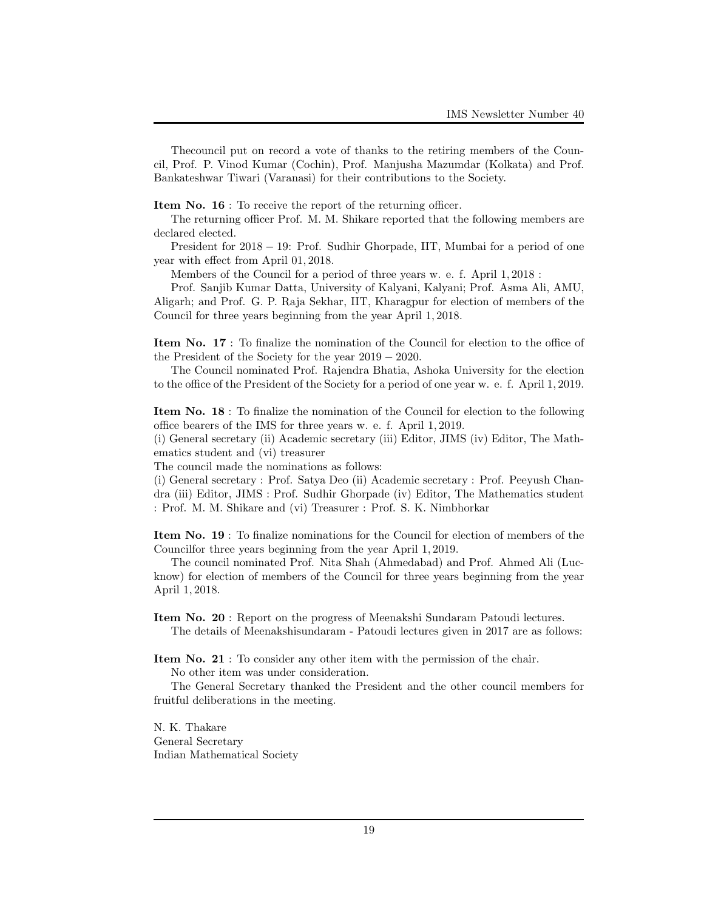Thecouncil put on record a vote of thanks to the retiring members of the Council, Prof. P. Vinod Kumar (Cochin), Prof. Manjusha Mazumdar (Kolkata) and Prof. Bankateshwar Tiwari (Varanasi) for their contributions to the Society.

Item No. 16 : To receive the report of the returning officer.

The returning officer Prof. M. M. Shikare reported that the following members are declared elected.

President for 2018 − 19: Prof. Sudhir Ghorpade, IIT, Mumbai for a period of one year with effect from April 01, 2018.

Members of the Council for a period of three years w. e. f. April 1, 2018 :

Prof. Sanjib Kumar Datta, University of Kalyani, Kalyani; Prof. Asma Ali, AMU, Aligarh; and Prof. G. P. Raja Sekhar, IIT, Kharagpur for election of members of the Council for three years beginning from the year April 1, 2018.

Item No. 17 : To finalize the nomination of the Council for election to the office of the President of the Society for the year 2019 − 2020.

The Council nominated Prof. Rajendra Bhatia, Ashoka University for the election to the office of the President of the Society for a period of one year w. e. f. April 1, 2019.

Item No. 18 : To finalize the nomination of the Council for election to the following office bearers of the IMS for three years w. e. f. April 1, 2019.

(i) General secretary (ii) Academic secretary (iii) Editor, JIMS (iv) Editor, The Mathematics student and (vi) treasurer

The council made the nominations as follows:

(i) General secretary : Prof. Satya Deo (ii) Academic secretary : Prof. Peeyush Chandra (iii) Editor, JIMS : Prof. Sudhir Ghorpade (iv) Editor, The Mathematics student : Prof. M. M. Shikare and (vi) Treasurer : Prof. S. K. Nimbhorkar

Item No. 19 : To finalize nominations for the Council for election of members of the Councilfor three years beginning from the year April 1, 2019.

The council nominated Prof. Nita Shah (Ahmedabad) and Prof. Ahmed Ali (Lucknow) for election of members of the Council for three years beginning from the year April 1, 2018.

Item No. 20 : Report on the progress of Meenakshi Sundaram Patoudi lectures. The details of Meenakshisundaram - Patoudi lectures given in 2017 are as follows:

Item No. 21 : To consider any other item with the permission of the chair.

No other item was under consideration.

The General Secretary thanked the President and the other council members for fruitful deliberations in the meeting.

N. K. Thakare General Secretary Indian Mathematical Society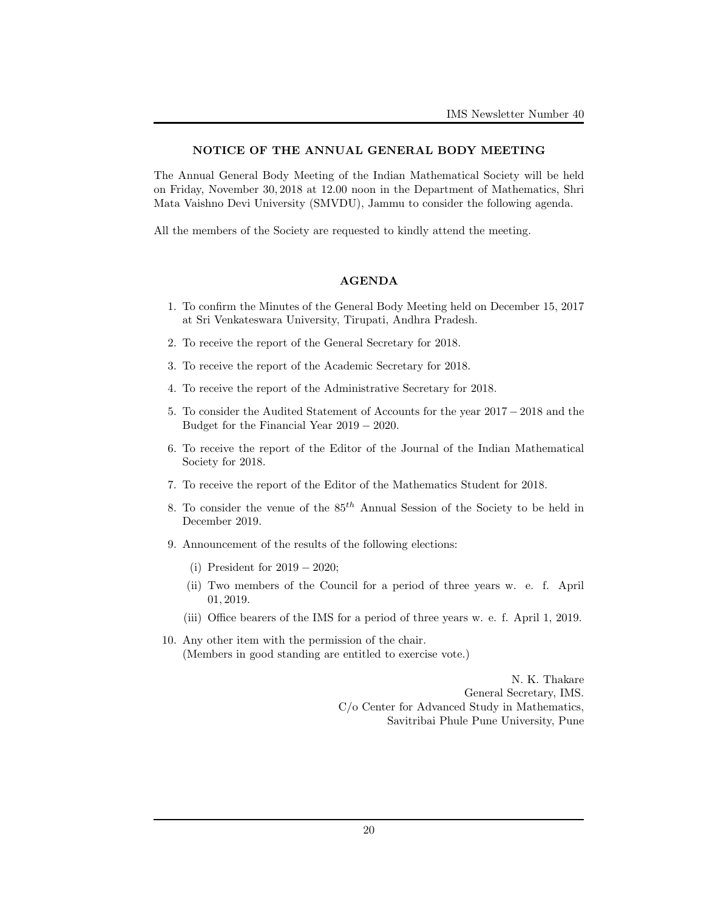#### NOTICE OF THE ANNUAL GENERAL BODY MEETING

The Annual General Body Meeting of the Indian Mathematical Society will be held on Friday, November 30, 2018 at 12.00 noon in the Department of Mathematics, Shri Mata Vaishno Devi University (SMVDU), Jammu to consider the following agenda.

All the members of the Society are requested to kindly attend the meeting.

### AGENDA

- 1. To confirm the Minutes of the General Body Meeting held on December 15, 2017 at Sri Venkateswara University, Tirupati, Andhra Pradesh.
- 2. To receive the report of the General Secretary for 2018.
- 3. To receive the report of the Academic Secretary for 2018.
- 4. To receive the report of the Administrative Secretary for 2018.
- 5. To consider the Audited Statement of Accounts for the year 2017 − 2018 and the Budget for the Financial Year 2019 − 2020.
- 6. To receive the report of the Editor of the Journal of the Indian Mathematical Society for 2018.
- 7. To receive the report of the Editor of the Mathematics Student for 2018.
- 8. To consider the venue of the  $85<sup>th</sup>$  Annual Session of the Society to be held in December 2019.
- 9. Announcement of the results of the following elections:
	- (i) President for 2019 − 2020;
	- (ii) Two members of the Council for a period of three years w. e. f. April 01, 2019.
	- (iii) Office bearers of the IMS for a period of three years w. e. f. April 1, 2019.
- 10. Any other item with the permission of the chair. (Members in good standing are entitled to exercise vote.)

N. K. Thakare General Secretary, IMS. C/o Center for Advanced Study in Mathematics, Savitribai Phule Pune University, Pune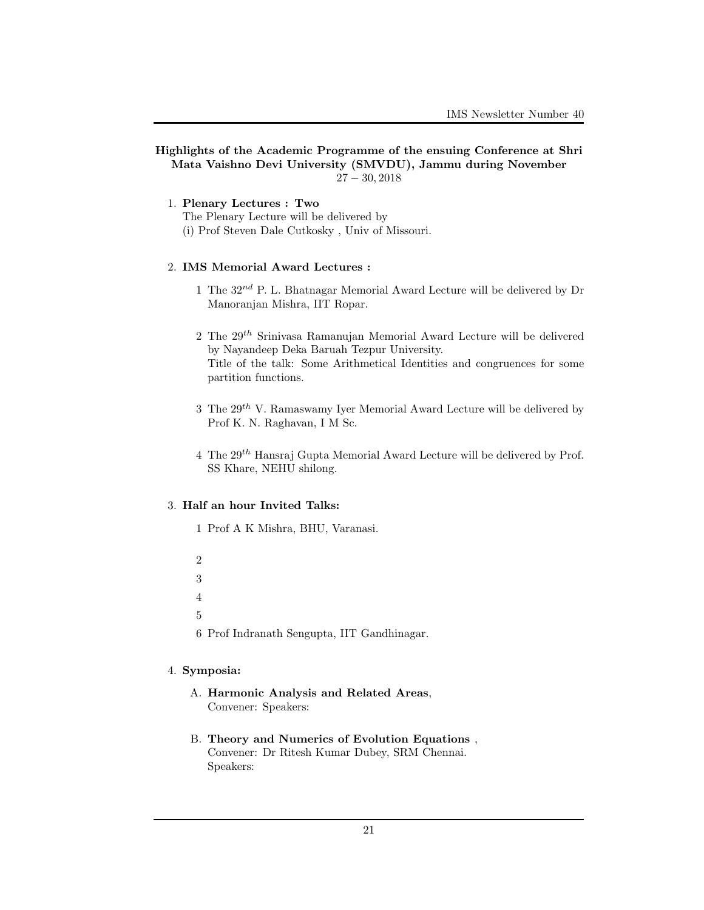## Highlights of the Academic Programme of the ensuing Conference at Shri Mata Vaishno Devi University (SMVDU), Jammu during November 27 − 30, 2018

- 1. Plenary Lectures : Two
	- The Plenary Lecture will be delivered by
	- (i) Prof Steven Dale Cutkosky , Univ of Missouri.

## 2. IMS Memorial Award Lectures :

- 1 The  $32^{nd}$  P. L. Bhatnagar Memorial Award Lecture will be delivered by Dr Manoranjan Mishra, IIT Ropar.
- 2 The  $29<sup>th</sup>$  Srinivasa Ramanujan Memorial Award Lecture will be delivered by Nayandeep Deka Baruah Tezpur University. Title of the talk: Some Arithmetical Identities and congruences for some partition functions.
- 3 The  $29<sup>th</sup>$  V. Ramaswamy Iver Memorial Award Lecture will be delivered by Prof K. N. Raghavan, I M Sc.
- 4 The  $29<sup>th</sup>$  Hansraj Gupta Memorial Award Lecture will be delivered by Prof. SS Khare, NEHU shilong.

## 3. Half an hour Invited Talks:

- 1 Prof A K Mishra, BHU, Varanasi.
- 2 3 4 5 6 Prof Indranath Sengupta, IIT Gandhinagar.

## 4. Symposia:

- A. Harmonic Analysis and Related Areas, Convener: Speakers:
- B. Theory and Numerics of Evolution Equations , Convener: Dr Ritesh Kumar Dubey, SRM Chennai. Speakers: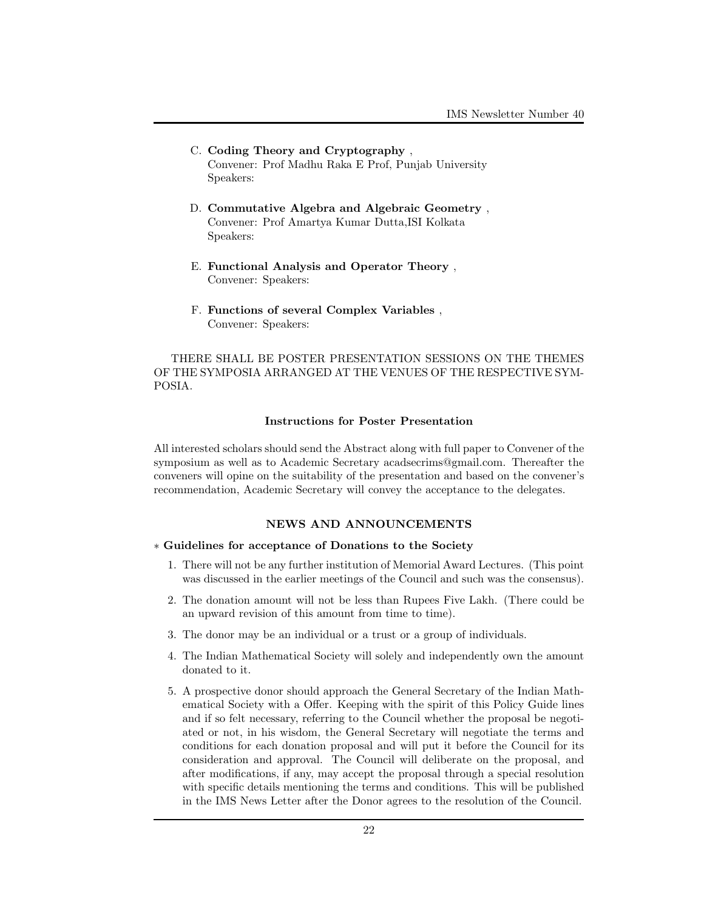- C. Coding Theory and Cryptography , Convener: Prof Madhu Raka E Prof, Punjab University Speakers:
- D. Commutative Algebra and Algebraic Geometry , Convener: Prof Amartya Kumar Dutta,ISI Kolkata Speakers:
- E. Functional Analysis and Operator Theory , Convener: Speakers:
- F. Functions of several Complex Variables , Convener: Speakers:

THERE SHALL BE POSTER PRESENTATION SESSIONS ON THE THEMES OF THE SYMPOSIA ARRANGED AT THE VENUES OF THE RESPECTIVE SYM-POSIA.

## Instructions for Poster Presentation

All interested scholars should send the Abstract along with full paper to Convener of the symposium as well as to Academic Secretary acadsecrims@gmail.com. Thereafter the conveners will opine on the suitability of the presentation and based on the convener's recommendation, Academic Secretary will convey the acceptance to the delegates.

## NEWS AND ANNOUNCEMENTS

## ∗ Guidelines for acceptance of Donations to the Society

- 1. There will not be any further institution of Memorial Award Lectures. (This point was discussed in the earlier meetings of the Council and such was the consensus).
- 2. The donation amount will not be less than Rupees Five Lakh. (There could be an upward revision of this amount from time to time).
- 3. The donor may be an individual or a trust or a group of individuals.
- 4. The Indian Mathematical Society will solely and independently own the amount donated to it.
- 5. A prospective donor should approach the General Secretary of the Indian Mathematical Society with a Offer. Keeping with the spirit of this Policy Guide lines and if so felt necessary, referring to the Council whether the proposal be negotiated or not, in his wisdom, the General Secretary will negotiate the terms and conditions for each donation proposal and will put it before the Council for its consideration and approval. The Council will deliberate on the proposal, and after modifications, if any, may accept the proposal through a special resolution with specific details mentioning the terms and conditions. This will be published in the IMS News Letter after the Donor agrees to the resolution of the Council.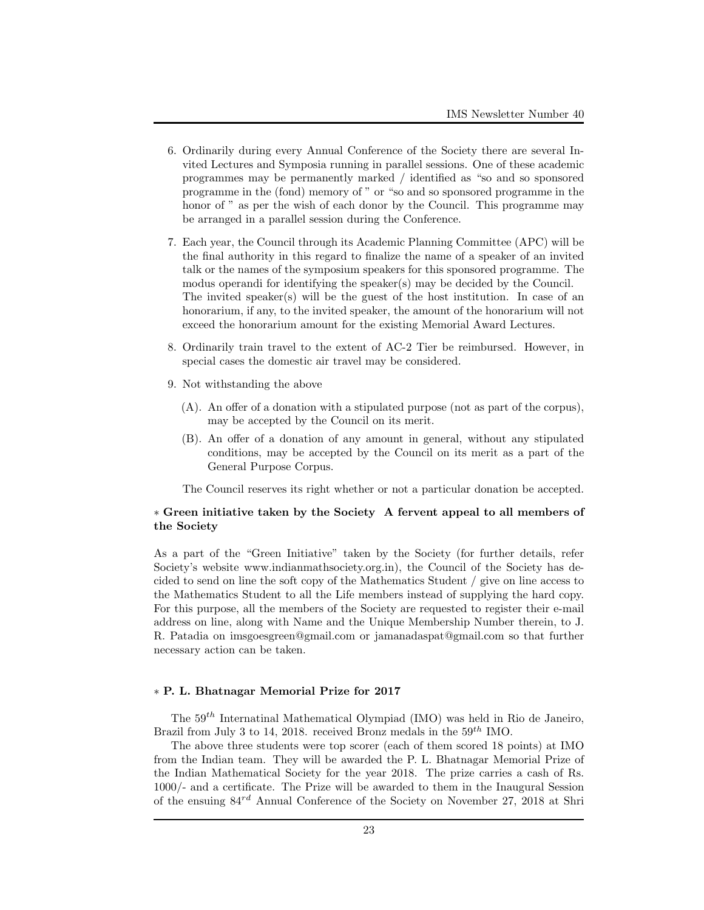- 6. Ordinarily during every Annual Conference of the Society there are several Invited Lectures and Symposia running in parallel sessions. One of these academic programmes may be permanently marked / identified as "so and so sponsored programme in the (fond) memory of " or "so and so sponsored programme in the honor of " as per the wish of each donor by the Council. This programme may be arranged in a parallel session during the Conference.
- 7. Each year, the Council through its Academic Planning Committee (APC) will be the final authority in this regard to finalize the name of a speaker of an invited talk or the names of the symposium speakers for this sponsored programme. The modus operandi for identifying the speaker(s) may be decided by the Council. The invited speaker(s) will be the guest of the host institution. In case of an honorarium, if any, to the invited speaker, the amount of the honorarium will not exceed the honorarium amount for the existing Memorial Award Lectures.
- 8. Ordinarily train travel to the extent of AC-2 Tier be reimbursed. However, in special cases the domestic air travel may be considered.
- 9. Not withstanding the above
	- (A). An offer of a donation with a stipulated purpose (not as part of the corpus), may be accepted by the Council on its merit.
	- (B). An offer of a donation of any amount in general, without any stipulated conditions, may be accepted by the Council on its merit as a part of the General Purpose Corpus.

The Council reserves its right whether or not a particular donation be accepted.

## ∗ Green initiative taken by the Society A fervent appeal to all members of the Society

As a part of the "Green Initiative" taken by the Society (for further details, refer Society's website www.indianmathsociety.org.in), the Council of the Society has decided to send on line the soft copy of the Mathematics Student / give on line access to the Mathematics Student to all the Life members instead of supplying the hard copy. For this purpose, all the members of the Society are requested to register their e-mail address on line, along with Name and the Unique Membership Number therein, to J. R. Patadia on imsgoesgreen@gmail.com or jamanadaspat@gmail.com so that further necessary action can be taken.

#### ∗ P. L. Bhatnagar Memorial Prize for 2017

The  $59<sup>th</sup>$  Internatinal Mathematical Olympiad (IMO) was held in Rio de Janeiro, Brazil from July 3 to 14, 2018. received Bronz medals in the  $59^{th}$  IMO.

The above three students were top scorer (each of them scored 18 points) at IMO from the Indian team. They will be awarded the P. L. Bhatnagar Memorial Prize of the Indian Mathematical Society for the year 2018. The prize carries a cash of Rs. 1000/- and a certificate. The Prize will be awarded to them in the Inaugural Session of the ensuing 84rd Annual Conference of the Society on November 27, 2018 at Shri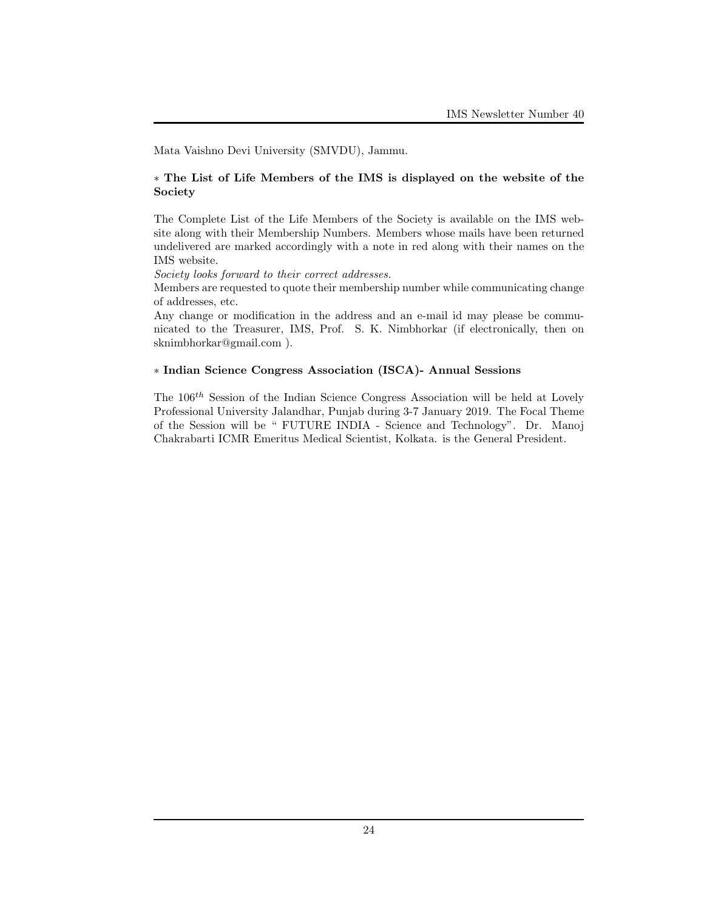Mata Vaishno Devi University (SMVDU), Jammu.

## ∗ The List of Life Members of the IMS is displayed on the website of the Society

The Complete List of the Life Members of the Society is available on the IMS website along with their Membership Numbers. Members whose mails have been returned undelivered are marked accordingly with a note in red along with their names on the IMS website.

Society looks forward to their correct addresses.

Members are requested to quote their membership number while communicating change of addresses, etc.

Any change or modification in the address and an e-mail id may please be communicated to the Treasurer, IMS, Prof. S. K. Nimbhorkar (if electronically, then on sknimbhorkar@gmail.com ).

## ∗ Indian Science Congress Association (ISCA)- Annual Sessions

The  $106^{th}$  Session of the Indian Science Congress Association will be held at Lovely Professional University Jalandhar, Punjab during 3-7 January 2019. The Focal Theme of the Session will be " FUTURE INDIA - Science and Technology". Dr. Manoj Chakrabarti ICMR Emeritus Medical Scientist, Kolkata. is the General President.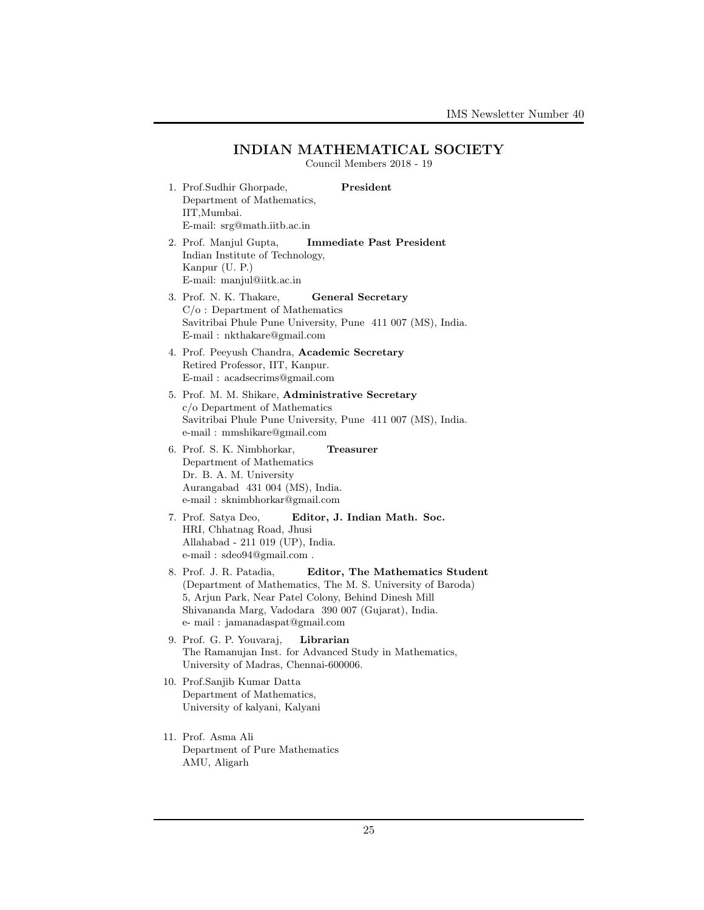## INDIAN MATHEMATICAL SOCIETY

Council Members 2018 - 19

- 1. Prof.Sudhir Ghorpade, President Department of Mathematics, IIT,Mumbai. E-mail: srg@math.iitb.ac.in 2. Prof. Manjul Gupta, Immediate Past President Indian Institute of Technology, Kanpur (U. P.) E-mail: manjul@iitk.ac.in 3. Prof. N. K. Thakare, General Secretary C/o : Department of Mathematics Savitribai Phule Pune University, Pune 411 007 (MS), India. E-mail : nkthakare@gmail.com 4. Prof. Peeyush Chandra, Academic Secretary Retired Professor, IIT, Kanpur. E-mail : acadsecrims@gmail.com 5. Prof. M. M. Shikare, Administrative Secretary c/o Department of Mathematics e-mail : mmshikare@gmail.com 6. Prof. S. K. Nimbhorkar, Treasurer Department of Mathematics Dr. B. A. M. University
- 
- Savitribai Phule Pune University, Pune 411 007 (MS), India.
- Aurangabad 431 004 (MS), India. e-mail : sknimbhorkar@gmail.com
- 7. Prof. Satya Deo, Editor, J. Indian Math. Soc. HRI, Chhatnag Road, Jhusi Allahabad - 211 019 (UP), India. e-mail : sdeo94@gmail.com .
- 8. Prof. J. R. Patadia, Editor, The Mathematics Student (Department of Mathematics, The M. S. University of Baroda) 5, Arjun Park, Near Patel Colony, Behind Dinesh Mill Shivananda Marg, Vadodara 390 007 (Gujarat), India. e- mail : jamanadaspat@gmail.com
- 9. Prof. G. P. Youvaraj, Librarian The Ramanujan Inst. for Advanced Study in Mathematics, University of Madras, Chennai-600006.
- 10. Prof.Sanjib Kumar Datta Department of Mathematics, University of kalyani, Kalyani
- 11. Prof. Asma Ali Department of Pure Mathematics AMU, Aligarh